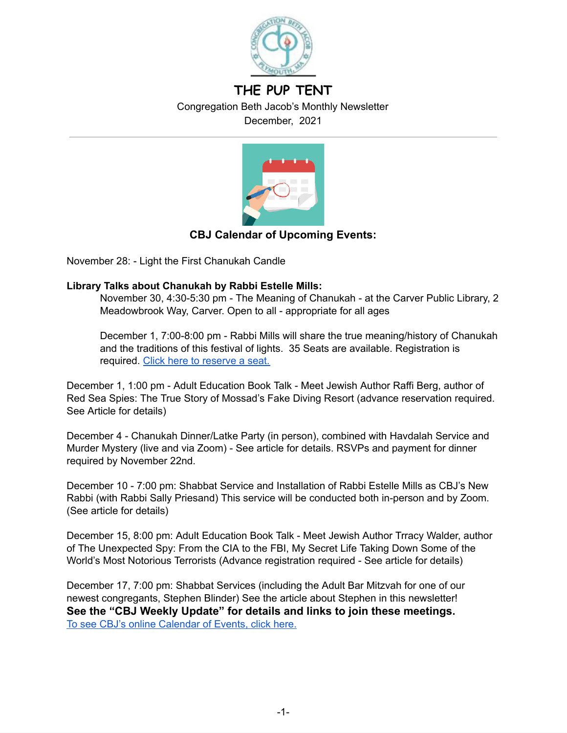

# **THE PUP TENT** Congregation Beth Jacob's Monthly Newsletter

December, 2021



# **CBJ Calendar of Upcoming Events:**

November 28: - Light the First Chanukah Candle

# **Library Talks about Chanukah by Rabbi Estelle Mills:**

November 30, 4:30-5:30 pm - The Meaning of Chanukah - at the Carver Public Library, 2 Meadowbrook Way, Carver. Open to all - appropriate for all ages

December 1, 7:00-8:00 pm - Rabbi Mills will share the true meaning/history of Chanukah and the traditions of this festival of lights. 35 Seats are available. Registration is required. Click here to [reserve](https://plymouthpubliclibrary.libcal.com/event/8406897) a seat.

December 1, 1:00 pm - Adult Education Book Talk - Meet Jewish Author Raffi Berg, author of Red Sea Spies: The True Story of Mossad's Fake Diving Resort (advance reservation required. See Article for details)

December 4 - Chanukah Dinner/Latke Party (in person), combined with Havdalah Service and Murder Mystery (live and via Zoom) - See article for details. RSVPs and payment for dinner required by November 22nd.

December 10 - 7:00 pm: Shabbat Service and Installation of Rabbi Estelle Mills as CBJ's New Rabbi (with Rabbi Sally Priesand) This service will be conducted both in-person and by Zoom. (See article for details)

December 15, 8:00 pm: Adult Education Book Talk - Meet Jewish Author Trracy Walder, author of The Unexpected Spy: From the CIA to the FBI, My Secret Life Taking Down Some of the World's Most Notorious Terrorists (Advance registration required - See article for details)

December 17, 7:00 pm: Shabbat Services (including the Adult Bar Mitzvah for one of our newest congregants, Stephen Blinder) See the article about Stephen in this newsletter! **See the "CBJ Weekly Update" for details and links to join these meetings.** To see CBJ's online [Calendar](https://www.cbjplymouth.org/calendar/full-calendar) of Events, click here.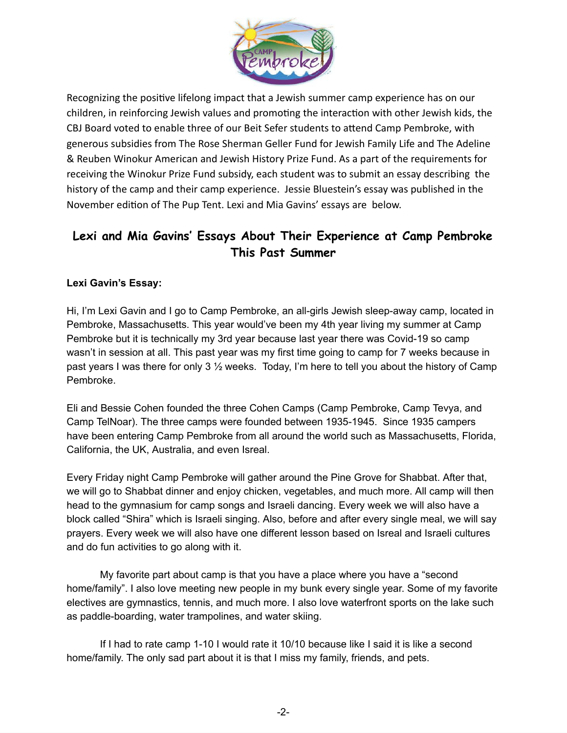

Recognizing the positive lifelong impact that a Jewish summer camp experience has on our children, in reinforcing Jewish values and promoting the interaction with other Jewish kids, the CBJ Board voted to enable three of our Beit Sefer students to attend Camp Pembroke, with generous subsidies from The Rose Sherman Geller Fund for Jewish Family Life and The Adeline & Reuben Winokur American and Jewish History Prize Fund. As a part of the requirements for receiving the Winokur Prize Fund subsidy, each student was to submit an essay describing the history of the camp and their camp experience. Jessie Bluestein's essay was published in the November edition of The Pup Tent. Lexi and Mia Gavins' essays are below.

# **Lexi and Mia Gavins' Essays About Their Experience at Camp Pembroke This Past Summer**

# **Lexi Gavin's Essay:**

Hi, I'm Lexi Gavin and I go to Camp Pembroke, an all-girls Jewish sleep-away camp, located in Pembroke, Massachusetts. This year would've been my 4th year living my summer at Camp Pembroke but it is technically my 3rd year because last year there was Covid-19 so camp wasn't in session at all. This past year was my first time going to camp for 7 weeks because in past years I was there for only 3 ½ weeks. Today, I'm here to tell you about the history of Camp Pembroke.

Eli and Bessie Cohen founded the three Cohen Camps (Camp Pembroke, Camp Tevya, and Camp TelNoar). The three camps were founded between 1935-1945. Since 1935 campers have been entering Camp Pembroke from all around the world such as Massachusetts, Florida, California, the UK, Australia, and even Isreal.

Every Friday night Camp Pembroke will gather around the Pine Grove for Shabbat. After that, we will go to Shabbat dinner and enjoy chicken, vegetables, and much more. All camp will then head to the gymnasium for camp songs and Israeli dancing. Every week we will also have a block called "Shira" which is Israeli singing. Also, before and after every single meal, we will say prayers. Every week we will also have one different lesson based on Isreal and Israeli cultures and do fun activities to go along with it.

My favorite part about camp is that you have a place where you have a "second home/family". I also love meeting new people in my bunk every single year. Some of my favorite electives are gymnastics, tennis, and much more. I also love waterfront sports on the lake such as paddle-boarding, water trampolines, and water skiing.

If I had to rate camp 1-10 I would rate it 10/10 because like I said it is like a second home/family. The only sad part about it is that I miss my family, friends, and pets.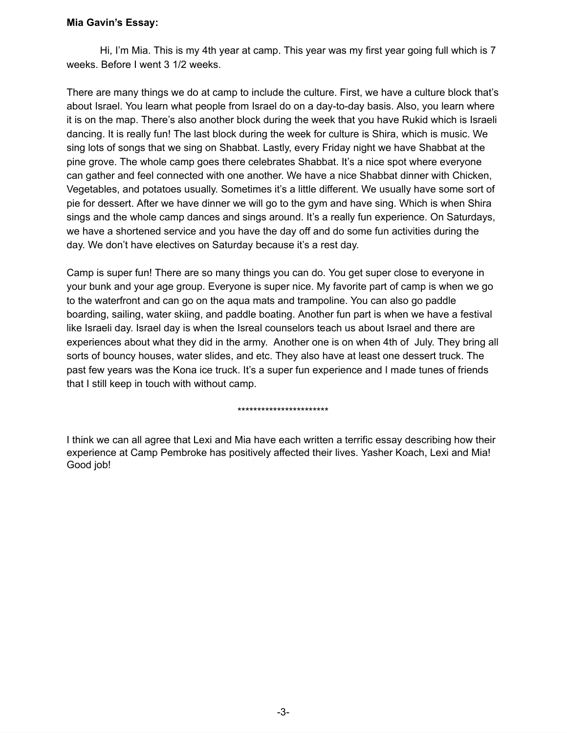#### **Mia Gavin's Essay:**

Hi, I'm Mia. This is my 4th year at camp. This year was my first year going full which is 7 weeks. Before I went 3 1/2 weeks.

There are many things we do at camp to include the culture. First, we have a culture block that's about Israel. You learn what people from Israel do on a day-to-day basis. Also, you learn where it is on the map. There's also another block during the week that you have Rukid which is Israeli dancing. It is really fun! The last block during the week for culture is Shira, which is music. We sing lots of songs that we sing on Shabbat. Lastly, every Friday night we have Shabbat at the pine grove. The whole camp goes there celebrates Shabbat. It's a nice spot where everyone can gather and feel connected with one another. We have a nice Shabbat dinner with Chicken, Vegetables, and potatoes usually. Sometimes it's a little different. We usually have some sort of pie for dessert. After we have dinner we will go to the gym and have sing. Which is when Shira sings and the whole camp dances and sings around. It's a really fun experience. On Saturdays, we have a shortened service and you have the day off and do some fun activities during the day. We don't have electives on Saturday because it's a rest day.

Camp is super fun! There are so many things you can do. You get super close to everyone in your bunk and your age group. Everyone is super nice. My favorite part of camp is when we go to the waterfront and can go on the aqua mats and trampoline. You can also go paddle boarding, sailing, water skiing, and paddle boating. Another fun part is when we have a festival like Israeli day. Israel day is when the Isreal counselors teach us about Israel and there are experiences about what they did in the army. Another one is on when 4th of July. They bring all sorts of bouncy houses, water slides, and etc. They also have at least one dessert truck. The past few years was the Kona ice truck. It's a super fun experience and I made tunes of friends that I still keep in touch with without camp.

#### \*\*\*\*\*\*\*\*\*\*\*\*\*\*\*\*\*\*\*\*\*\*\*

I think we can all agree that Lexi and Mia have each written a terrific essay describing how their experience at Camp Pembroke has positively affected their lives. Yasher Koach, Lexi and Mia! Good job!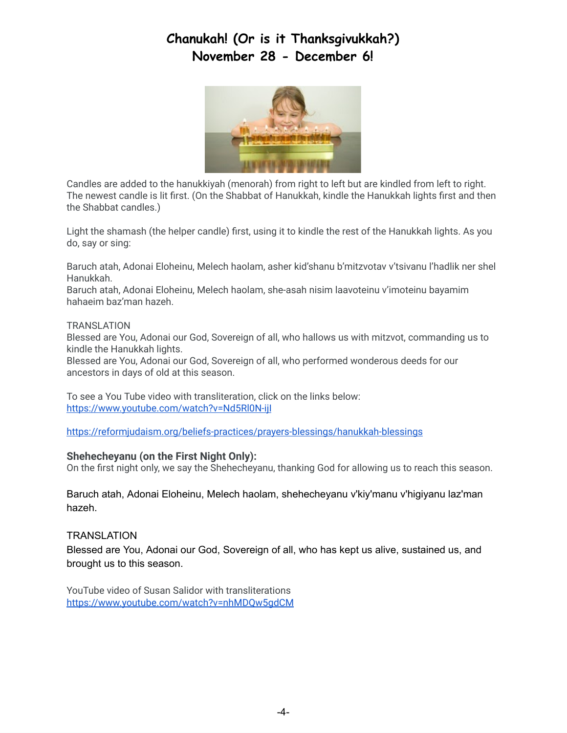# **Chanukah! (Or is it Thanksgivukkah?) November 28 - December 6!**



Candles are added to the hanukkiyah (menorah) from right to left but are kindled from left to right. The newest candle is lit first. (On the Shabbat of Hanukkah, kindle the Hanukkah lights first and then the Shabbat candles.)

Light the shamash (the helper candle) first, using it to kindle the rest of the Hanukkah lights. As you do, say or sing:

Baruch atah, Adonai Eloheinu, Melech haolam, asher kid'shanu b'mitzvotav v'tsivanu l'hadlik ner shel Hanukkah.

Baruch atah, Adonai Eloheinu, Melech haolam, she-asah nisim laavoteinu v'imoteinu bayamim hahaeim baz'man hazeh.

#### TRANSLATION

Blessed are You, Adonai our God, Sovereign of all, who hallows us with mitzvot, commanding us to kindle the Hanukkah lights.

Blessed are You, Adonai our God, Sovereign of all, who performed wonderous deeds for our ancestors in days of old at this season.

To see a You Tube video with transliteration, click on the links below: <https://www.youtube.com/watch?v=Nd5Rl0N-ijI>

<https://reformjudaism.org/beliefs-practices/prayers-blessings/hanukkah-blessings>

#### **Shehecheyanu (on the First Night Only):**

On the first night only, we say the Shehecheyanu, thanking God for allowing us to reach this season.

Baruch atah, Adonai Eloheinu, Melech haolam, shehecheyanu v'kiy'manu v'higiyanu laz'man hazeh.

#### **TRANSLATION**

Blessed are You, Adonai our God, Sovereign of all, who has kept us alive, sustained us, and brought us to this season.

YouTube video of Susan Salidor with transliterations <https://www.youtube.com/watch?v=nhMDQw5gdCM>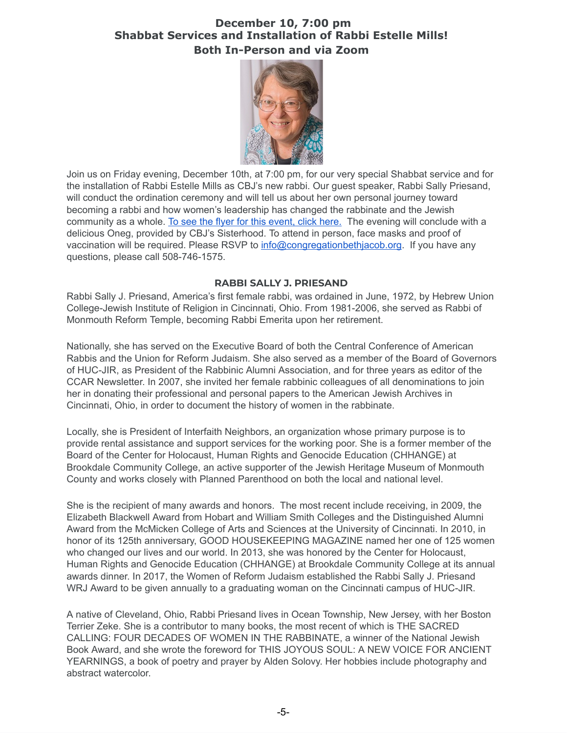# **December 10, 7:00 pm Shabbat Services and Installation of Rabbi Estelle Mills! Both In-Person and via Zoom**



Join us on Friday evening, December 10th, at 7:00 pm, for our very special Shabbat service and for the installation of Rabbi Estelle Mills as CBJ's new rabbi. Our guest speaker, Rabbi Sally Priesand, will conduct the ordination ceremony and will tell us about her own personal journey toward becoming a rabbi and how women's leadership has changed the rabbinate and the Jewish community as a whole. To see the flyer for this [event,](https://drive.google.com/file/d/1HKc70BblBadZOsyyQ_BkBiNsbkiVG0UG/view?usp=sharing) click here. The evening will conclude with a delicious Oneg, provided by CBJ's Sisterhood. To attend in person, face masks and proof of vaccination will be required. Please RSVP to [info@congregationbethjacob.org](mailto:info@congregationbethjacob.org). If you have any questions, please call 508-746-1575.

#### **RABBI SALLY J. PRIESAND**

Rabbi Sally J. Priesand, America's first female rabbi, was ordained in June, 1972, by Hebrew Union College-Jewish Institute of Religion in Cincinnati, Ohio. From 1981-2006, she served as Rabbi of Monmouth Reform Temple, becoming Rabbi Emerita upon her retirement.

Nationally, she has served on the Executive Board of both the Central Conference of American Rabbis and the Union for Reform Judaism. She also served as a member of the Board of Governors of HUC-JIR, as President of the Rabbinic Alumni Association, and for three years as editor of the CCAR Newsletter. In 2007, she invited her female rabbinic colleagues of all denominations to join her in donating their professional and personal papers to the American Jewish Archives in Cincinnati, Ohio, in order to document the history of women in the rabbinate.

Locally, she is President of Interfaith Neighbors, an organization whose primary purpose is to provide rental assistance and support services for the working poor. She is a former member of the Board of the Center for Holocaust, Human Rights and Genocide Education (CHHANGE) at Brookdale Community College, an active supporter of the Jewish Heritage Museum of Monmouth County and works closely with Planned Parenthood on both the local and national level.

She is the recipient of many awards and honors. The most recent include receiving, in 2009, the Elizabeth Blackwell Award from Hobart and William Smith Colleges and the Distinguished Alumni Award from the McMicken College of Arts and Sciences at the University of Cincinnati. In 2010, in honor of its 125th anniversary, GOOD HOUSEKEEPING MAGAZINE named her one of 125 women who changed our lives and our world. In 2013, she was honored by the Center for Holocaust, Human Rights and Genocide Education (CHHANGE) at Brookdale Community College at its annual awards dinner. In 2017, the Women of Reform Judaism established the Rabbi Sally J. Priesand WRJ Award to be given annually to a graduating woman on the Cincinnati campus of HUC-JIR.

A native of Cleveland, Ohio, Rabbi Priesand lives in Ocean Township, New Jersey, with her Boston Terrier Zeke. She is a contributor to many books, the most recent of which is THE SACRED CALLING: FOUR DECADES OF WOMEN IN THE RABBINATE, a winner of the National Jewish Book Award, and she wrote the foreword for THIS JOYOUS SOUL: A NEW VOICE FOR ANCIENT YEARNINGS, a book of poetry and prayer by Alden Solovy. Her hobbies include photography and abstract watercolor.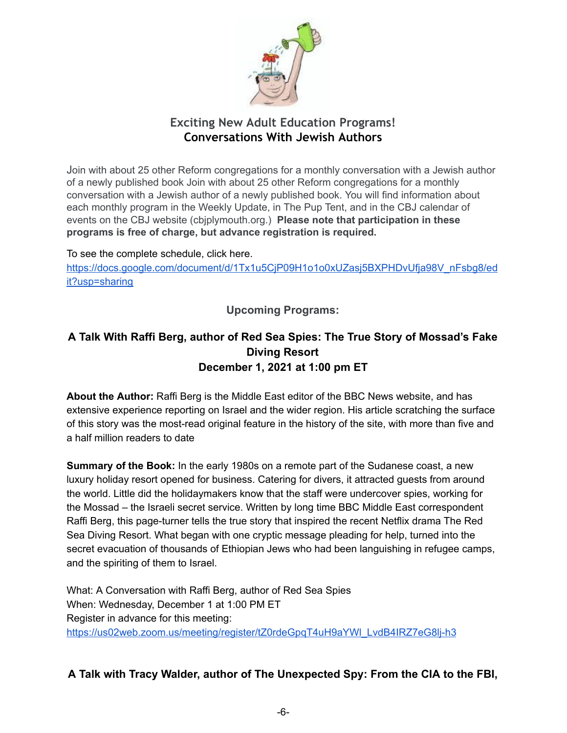

# **Exciting New Adult Education Programs! Conversations With Jewish Authors**

Join with about 25 other Reform congregations for a monthly conversation with a Jewish author of a newly published book Join with about 25 other Reform congregations for a monthly conversation with a Jewish author of a newly published book. You will find information about each monthly program in the Weekly Update, in The Pup Tent, and in the CBJ calendar of events on the CBJ website (cbjplymouth.org.) **Please note that participation in these programs is free of charge, but advance registration is required.**

To see the complete schedule, click here.

[https://docs.google.com/document/d/1Tx1u5CjP09H1o1o0xUZasj5BXPHDvUfja98V\\_nFsbg8/ed](https://docs.google.com/document/d/1Tx1u5CjP09H1o1o0xUZasj5BXPHDvUfja98V_nFsbg8/edit?usp=sharing) [it?usp=sharing](https://docs.google.com/document/d/1Tx1u5CjP09H1o1o0xUZasj5BXPHDvUfja98V_nFsbg8/edit?usp=sharing)

**Upcoming Programs:**

# **A Talk With Raffi Berg, author of Red Sea Spies: The True Story of Mossad's Fake Diving Resort December 1, 2021 at 1:00 pm ET**

**About the Author:** Raffi Berg is the Middle East editor of the BBC News website, and has extensive experience reporting on Israel and the wider region. His article scratching the surface of this story was the most-read original feature in the history of the site, with more than five and a half million readers to date

**Summary of the Book:** In the early 1980s on a remote part of the Sudanese coast, a new luxury holiday resort opened for business. Catering for divers, it attracted guests from around the world. Little did the holidaymakers know that the staff were undercover spies, working for the Mossad – the Israeli secret service. Written by long time BBC Middle East correspondent Raffi Berg, this page-turner tells the true story that inspired the recent Netflix drama The Red Sea Diving Resort. What began with one cryptic message pleading for help, turned into the secret evacuation of thousands of Ethiopian Jews who had been languishing in refugee camps, and the spiriting of them to Israel.

What: A Conversation with Raffi Berg, author of Red Sea Spies When: Wednesday, December 1 at 1:00 PM ET Register in advance for this meeting: https://us02web.zoom.us/meeting/register/tZ0rdeGpqT4uH9aYWl\_LvdB4IRZ7eG8li-h3

# **A Talk with Tracy Walder, author of The Unexpected Spy: From the CIA to the FBI,**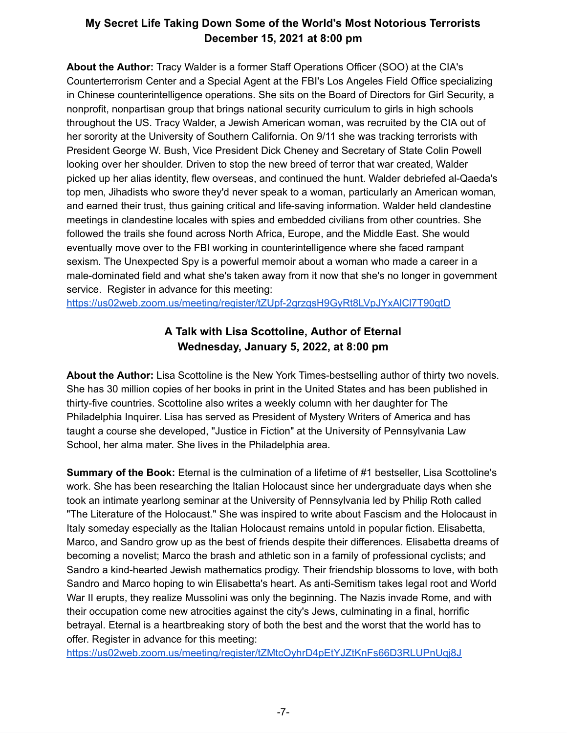# **My Secret Life Taking Down Some of the World's Most Notorious Terrorists December 15, 2021 at 8:00 pm**

**About the Author:** Tracy Walder is a former Staff Operations Officer (SOO) at the CIA's Counterterrorism Center and a Special Agent at the FBI's Los Angeles Field Office specializing in Chinese counterintelligence operations. She sits on the Board of Directors for Girl Security, a nonprofit, nonpartisan group that brings national security curriculum to girls in high schools throughout the US. Tracy Walder, a Jewish American woman, was recruited by the CIA out of her sorority at the University of Southern California. On 9/11 she was tracking terrorists with President George W. Bush, Vice President Dick Cheney and Secretary of State Colin Powell looking over her shoulder. Driven to stop the new breed of terror that war created, Walder picked up her alias identity, flew overseas, and continued the hunt. Walder debriefed al-Qaeda's top men, Jihadists who swore they'd never speak to a woman, particularly an American woman, and earned their trust, thus gaining critical and life-saving information. Walder held clandestine meetings in clandestine locales with spies and embedded civilians from other countries. She followed the trails she found across North Africa, Europe, and the Middle East. She would eventually move over to the FBI working in counterintelligence where she faced rampant sexism. The Unexpected Spy is a powerful memoir about a woman who made a career in a male-dominated field and what she's taken away from it now that she's no longer in government service. Register in advance for this meeting:

<https://us02web.zoom.us/meeting/register/tZUpf-2grzgsH9GyRt8LVpJYxAlCl7T90gtD>

# **A Talk with Lisa Scottoline, Author of Eternal Wednesday, January 5, 2022, at 8:00 pm**

**About the Author:** Lisa Scottoline is the New York Times-bestselling author of thirty two novels. She has 30 million copies of her books in print in the United States and has been published in thirty-five countries. Scottoline also writes a weekly column with her daughter for The Philadelphia Inquirer. Lisa has served as President of Mystery Writers of America and has taught a course she developed, "Justice in Fiction" at the University of Pennsylvania Law School, her alma mater. She lives in the Philadelphia area.

**Summary of the Book:** Eternal is the culmination of a lifetime of #1 bestseller, Lisa Scottoline's work. She has been researching the Italian Holocaust since her undergraduate days when she took an intimate yearlong seminar at the University of Pennsylvania led by Philip Roth called "The Literature of the Holocaust." She was inspired to write about Fascism and the Holocaust in Italy someday especially as the Italian Holocaust remains untold in popular fiction. Elisabetta, Marco, and Sandro grow up as the best of friends despite their differences. Elisabetta dreams of becoming a novelist; Marco the brash and athletic son in a family of professional cyclists; and Sandro a kind-hearted Jewish mathematics prodigy. Their friendship blossoms to love, with both Sandro and Marco hoping to win Elisabetta's heart. As anti-Semitism takes legal root and World War II erupts, they realize Mussolini was only the beginning. The Nazis invade Rome, and with their occupation come new atrocities against the city's Jews, culminating in a final, horrific betrayal. Eternal is a heartbreaking story of both the best and the worst that the world has to offer. Register in advance for this meeting:

<https://us02web.zoom.us/meeting/register/tZMtcOyhrD4pEtYJZtKnFs66D3RLUPnUqj8J>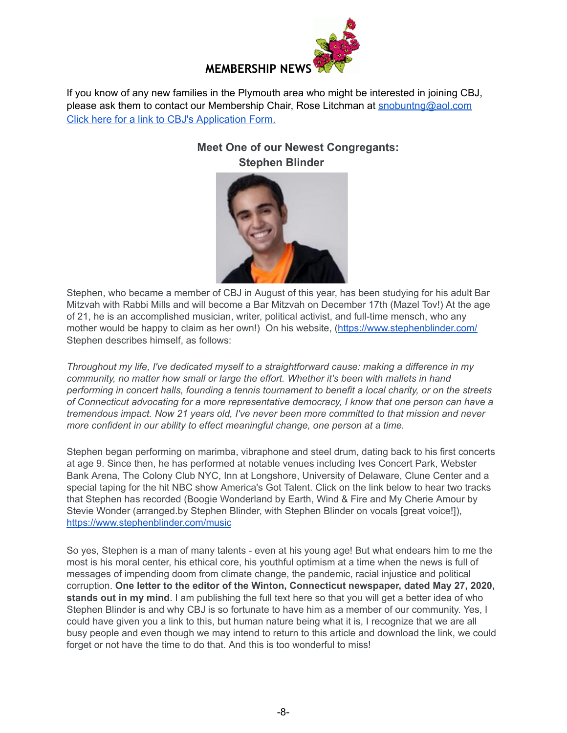

If you know of any new families in the Plymouth area who might be interested in joining CBJ, please ask them to contact our Membership Chair, Rose Litchman at [snobuntng@aol.com](mailto:snobuntng@aol.com) Click here for a link to CBJ's [Application](https://www.cbjplymouth.org/join/membership-form) Form.

> **Meet One of our Newest Congregants: Stephen Blinder**



Stephen, who became a member of CBJ in August of this year, has been studying for his adult Bar Mitzvah with Rabbi Mills and will become a Bar Mitzvah on December 17th (Mazel Tov!) At the age of 21, he is an accomplished musician, writer, political activist, and full-time mensch, who any mother would be happy to claim as her own!) On his website, (<https://www.stephenblinder.com/> Stephen describes himself, as follows:

*Throughout my life, I've dedicated myself to a straightforward cause: making a difference in my community, no matter how small or large the effort. Whether it's been with mallets in hand performing in concert halls, founding a tennis tournament to benefit a local charity, or on the streets of Connecticut advocating for a more representative democracy, I know that one person can have a tremendous impact. Now 21 years old, I've never been more committed to that mission and never more confident in our ability to effect meaningful change, one person at a time.*

Stephen began performing on marimba, vibraphone and steel drum, dating back to his first concerts at age 9. Since then, he has performed at notable venues including Ives Concert Park, Webster Bank Arena, The Colony Club NYC, Inn at Longshore, University of Delaware, Clune Center and a special taping for the hit NBC show America's Got Talent. Click on the link below to hear two tracks that Stephen has recorded (Boogie Wonderland by Earth, Wind & Fire and My Cherie Amour by Stevie Wonder (arranged.by Stephen Blinder, with Stephen Blinder on vocals [great voice!]), <https://www.stephenblinder.com/music>

So yes, Stephen is a man of many talents - even at his young age! But what endears him to me the most is his moral center, his ethical core, his youthful optimism at a time when the news is full of messages of impending doom from climate change, the pandemic, racial injustice and political corruption. **One letter to the editor of the Winton, Connecticut newspaper, dated May 27, 2020, stands out in my mind**. I am publishing the full text here so that you will get a better idea of who Stephen Blinder is and why CBJ is so fortunate to have him as a member of our community. Yes, I could have given you a link to this, but human nature being what it is, I recognize that we are all busy people and even though we may intend to return to this article and download the link, we could forget or not have the time to do that. And this is too wonderful to miss!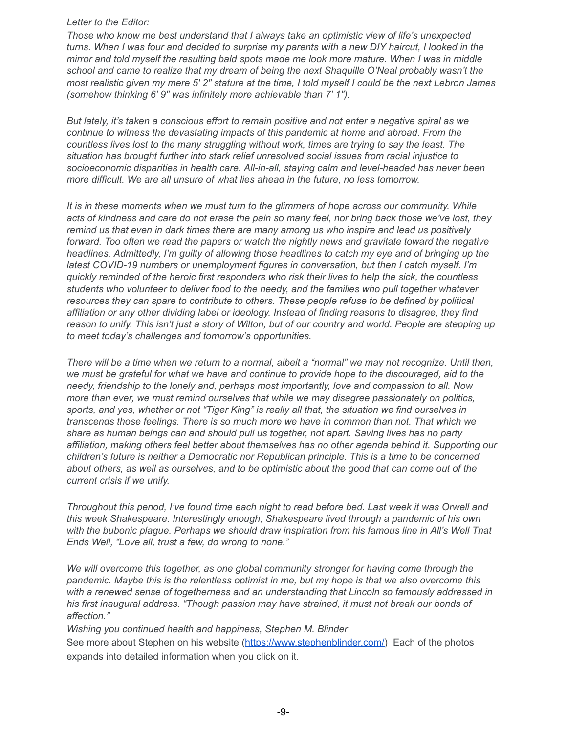#### *Letter to the Editor:*

*Those who know me best understand that I always take an optimistic view of life's unexpected* turns. When I was four and decided to surprise my parents with a new DIY haircut, I looked in the *mirror and told myself the resulting bald spots made me look more mature. When I was in middle school and came to realize that my dream of being the next Shaquille O'Neal probably wasn't the* most realistic given my mere 5' 2" stature at the time, I told myself I could be the next Lebron James *(somehow thinking 6′ 9″ was infinitely more achievable than 7′ 1″).*

*But lately, it's taken a conscious effort to remain positive and not enter a negative spiral as we continue to witness the devastating impacts of this pandemic at home and abroad. From the countless lives lost to the many struggling without work, times are trying to say the least. The situation has brought further into stark relief unresolved social issues from racial injustice to socioeconomic disparities in health care. All-in-all, staying calm and level-headed has never been more difficult. We are all unsure of what lies ahead in the future, no less tomorrow.*

*It is in these moments when we must turn to the glimmers of hope across our community. While* acts of kindness and care do not erase the pain so many feel, nor bring back those we've lost, they *remind us that even in dark times there are many among us who inspire and lead us positively forward. Too often we read the papers or watch the nightly news and gravitate toward the negative headlines. Admittedly, I'm guilty of allowing those headlines to catch my eye and of bringing up the latest COVID-19 numbers or unemployment figures in conversation, but then I catch myself. I'm quickly reminded of the heroic first responders who risk their lives to help the sick, the countless students who volunteer to deliver food to the needy, and the families who pull together whatever resources they can spare to contribute to others. These people refuse to be defined by political affiliation or any other dividing label or ideology. Instead of finding reasons to disagree, they find* reason to unify. This isn't just a story of Wilton, but of our country and world. People are stepping up *to meet today's challenges and tomorrow's opportunities.*

There will be a time when we return to a normal, albeit a "normal" we may not recognize. Until then, we must be grateful for what we have and continue to provide hope to the discouraged, aid to the *needy, friendship to the lonely and, perhaps most importantly, love and compassion to all. Now more than ever, we must remind ourselves that while we may disagree passionately on politics,* sports, and yes, whether or not "Tiger King" is really all that, the situation we find ourselves in *transcends those feelings. There is so much more we have in common than not. That which we share as human beings can and should pull us together, not apart. Saving lives has no party affiliation, making others feel better about themselves has no other agenda behind it. Supporting our children's future is neither a Democratic nor Republican principle. This is a time to be concerned* about others, as well as ourselves, and to be optimistic about the good that can come out of the *current crisis if we unify.*

*Throughout this period, I've found time each night to read before bed. Last week it was Orwell and this week Shakespeare. Interestingly enough, Shakespeare lived through a pandemic of his own with the bubonic plague. Perhaps we should draw inspiration from his famous line in All's Well That Ends Well, "Love all, trust a few, do wrong to none."*

*We will overcome this together, as one global community stronger for having come through the pandemic. Maybe this is the relentless optimist in me, but my hope is that we also overcome this with a renewed sense of togetherness and an understanding that Lincoln so famously addressed in his first inaugural address. "Though passion may have strained, it must not break our bonds of affection."*

*Wishing you continued health and happiness, Stephen M. Blinder* See more about Stephen on his website ([https://www.stephenblinder.com/\)](https://www.stephenblinder.com/) Each of the photos expands into detailed information when you click on it.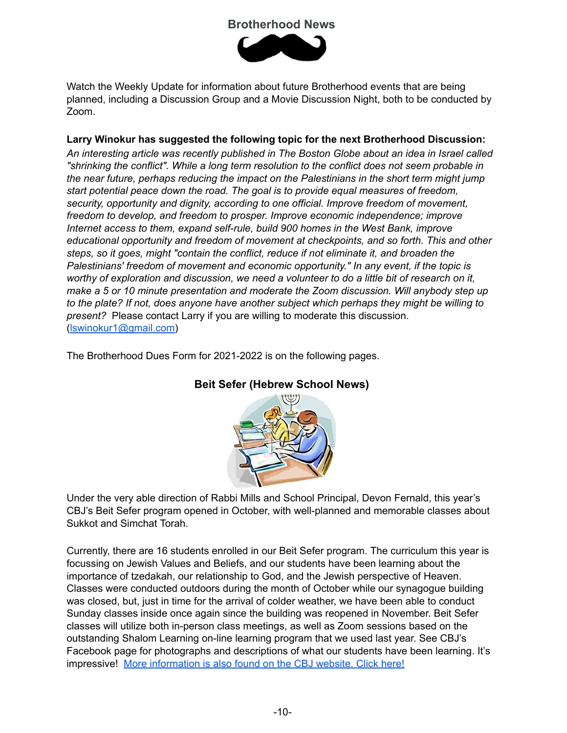# **Brotherhood News**



Watch the Weekly Update for information about future Brotherhood events that are being planned, including a Discussion Group and a Movie Discussion Night, both to be conducted by Zoom.

### **Larry Winokur has suggested the following topic for the next Brotherhood Discussion:**

*An interesting article was recently published in The Boston Globe about an idea in Israel called "shrinking the conflict". While a long term resolution to the conflict does not seem probable in the near future, perhaps reducing the impact on the Palestinians in the short term might jump start potential peace down the road. The goal is to provide equal measures of freedom, security, opportunity and dignity, according to one official. Improve freedom of movement, freedom to develop, and freedom to prosper. Improve economic independence; improve Internet access to them, expand self-rule, build 900 homes in the West Bank, improve educational opportunity and freedom of movement at checkpoints, and so forth. This and other steps, so it goes, might "contain the conflict, reduce if not eliminate it, and broaden the Palestinians' freedom of movement and economic opportunity." In any event, if the topic is worthy of exploration and discussion, we need a volunteer to do a little bit of research on it, make a 5 or 10 minute presentation and moderate the Zoom discussion. Will anybody step up to the plate? If not, does anyone have another subject which perhaps they might be willing to present?* Please contact Larry if you are willing to moderate this discussion. ([lswinokur1@gmail.com\)](mailto:lswinokur1@gmail.com)

The Brotherhood Dues Form for 2021-2022 is on the following pages.



# **Beit Sefer (Hebrew School News)**

Under the very able direction of Rabbi Mills and School Principal, Devon Fernald, this year's CBJ's Beit Sefer program opened in October, with well-planned and memorable classes about Sukkot and Simchat Torah.

Currently, there are 16 students enrolled in our Beit Sefer program. The curriculum this year is focussing on Jewish Values and Beliefs, and our students have been learning about the importance of tzedakah, our relationship to God, and the Jewish perspective of Heaven. Classes were conducted outdoors during the month of October while our synagogue building was closed, but, just in time for the arrival of colder weather, we have been able to conduct Sunday classes inside once again since the building was reopened in November. Beit Sefer classes will utilize both in-person class meetings, as well as Zoom sessions based on the outstanding Shalom Learning on-line learning program that we used last year. See CBJ's Facebook page for photographs and descriptions of what our students have been learning. It's impressive! More [information](https://www.cbjplymouth.org/learn/beit-sefer) is also found on the CBJ website. Click here!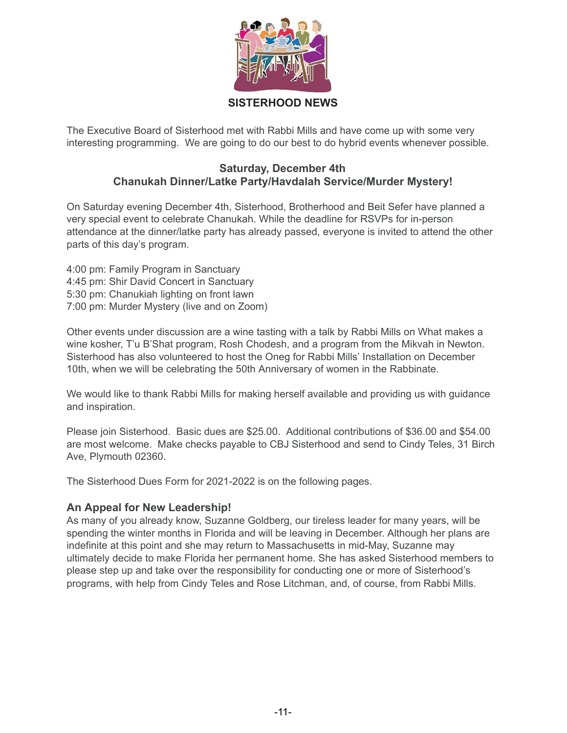

# **SISTERHOOD NEWS**

The Executive Board of Sisterhood met with Rabbi Mills and have come up with some very interesting programming. We are going to do our best to do hybrid events whenever possible.

# **Saturday, December 4th Chanukah Dinner/Latke Party/Havdalah Service/Murder Mystery!**

On Saturday evening December 4th, Sisterhood, Brotherhood and Beit Sefer have planned a very special event to celebrate Chanukah. While the deadline for RSVPs for in-person attendance at the dinner/latke party has already passed, everyone is invited to attend the other parts of this day's program.

4:00 pm: Family Program in Sanctuary 4:45 pm: Shir David Concert in Sanctuary 5:30 pm: Chanukiah lighting on front lawn 7:00 pm: Murder Mystery (live and on Zoom)

Other events under discussion are a wine tasting with a talk by Rabbi Mills on What makes a wine kosher, T'u B'Shat program, Rosh Chodesh, and a program from the Mikvah in Newton. Sisterhood has also volunteered to host the Oneg for Rabbi Mills' Installation on December 10th, when we will be celebrating the 50th Anniversary of women in the Rabbinate.

We would like to thank Rabbi Mills for making herself available and providing us with guidance and inspiration.

Please join Sisterhood. Basic dues are \$25.00. Additional contributions of \$36.00 and \$54.00 are most welcome. Make checks payable to CBJ Sisterhood and send to Cindy Teles, 31 Birch Ave, Plymouth 02360.

The Sisterhood Dues Form for 2021-2022 is on the following pages.

# **An Appeal for New Leadership!**

As many of you already know, Suzanne Goldberg, our tireless leader for many years, will be spending the winter months in Florida and will be leaving in December. Although her plans are indefinite at this point and she may return to Massachusetts in mid-May, Suzanne may ultimately decide to make Florida her permanent home. She has asked Sisterhood members to please step up and take over the responsibility for conducting one or more of Sisterhood's programs, with help from Cindy Teles and Rose Litchman, and, of course, from Rabbi Mills.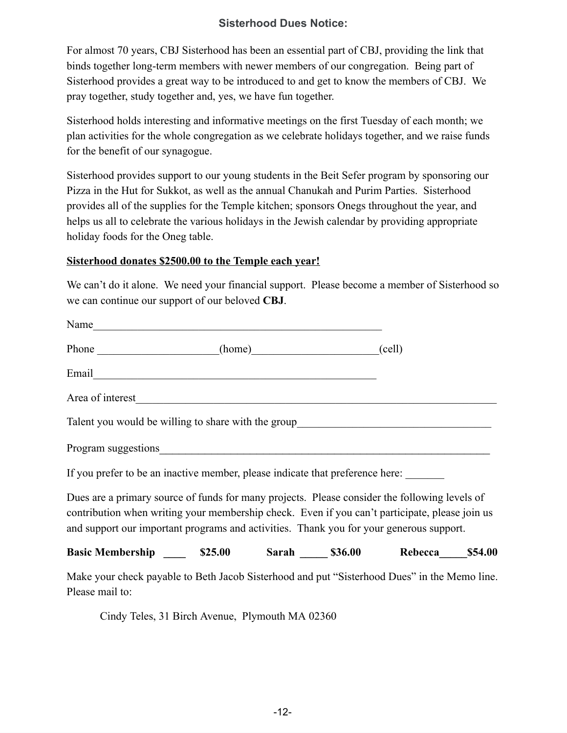# **Sisterhood Dues Notice:**

For almost 70 years, CBJ Sisterhood has been an essential part of CBJ, providing the link that binds together long-term members with newer members of our congregation. Being part of Sisterhood provides a great way to be introduced to and get to know the members of CBJ. We pray together, study together and, yes, we have fun together.

Sisterhood holds interesting and informative meetings on the first Tuesday of each month; we plan activities for the whole congregation as we celebrate holidays together, and we raise funds for the benefit of our synagogue.

Sisterhood provides support to our young students in the Beit Sefer program by sponsoring our Pizza in the Hut for Sukkot, as well as the annual Chanukah and Purim Parties. Sisterhood provides all of the supplies for the Temple kitchen; sponsors Onegs throughout the year, and helps us all to celebrate the various holidays in the Jewish calendar by providing appropriate holiday foods for the Oneg table.

#### **Sisterhood donates \$2500.00 to the Temple each year!**

We can't do it alone. We need your financial support. Please become a member of Sisterhood so we can continue our support of our beloved **CBJ**.

| Name                                                                                    |  |                                                                                                                                                                                                 |
|-----------------------------------------------------------------------------------------|--|-------------------------------------------------------------------------------------------------------------------------------------------------------------------------------------------------|
| Phone (home) (cell)                                                                     |  |                                                                                                                                                                                                 |
|                                                                                         |  |                                                                                                                                                                                                 |
| Area of interest_                                                                       |  |                                                                                                                                                                                                 |
|                                                                                         |  | Talent you would be willing to share with the group______________________________                                                                                                               |
|                                                                                         |  |                                                                                                                                                                                                 |
| If you prefer to be an inactive member, please indicate that preference here:           |  |                                                                                                                                                                                                 |
| and support our important programs and activities. Thank you for your generous support. |  | Dues are a primary source of funds for many projects. Please consider the following levels of<br>contribution when writing your membership check. Even if you can't participate, please join us |
|                                                                                         |  | Basic Membership ______ \$25.00 Sarah _____ \$36.00 Rebecca_____ \$54.00                                                                                                                        |
| Please mail to:                                                                         |  | Make your check payable to Beth Jacob Sisterhood and put "Sisterhood Dues" in the Memo line.                                                                                                    |

Cindy Teles, 31 Birch Avenue, Plymouth MA 02360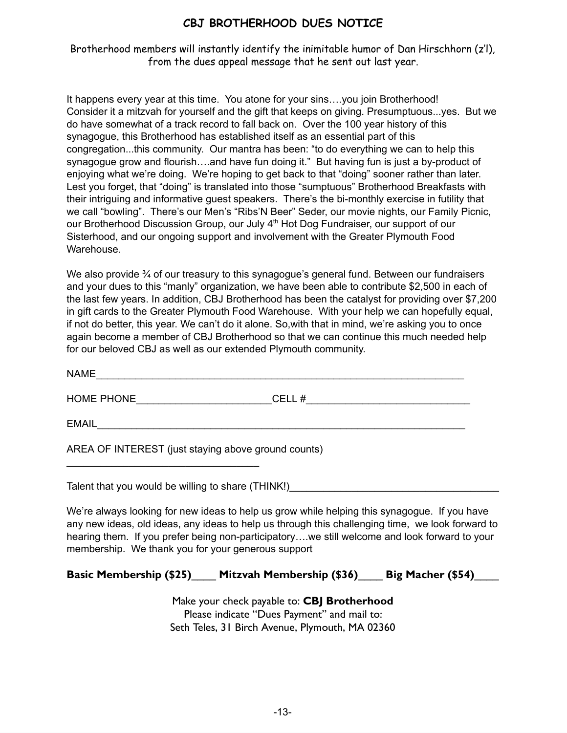# **CBJ BROTHERHOOD DUES NOTICE**

Brotherhood members will instantly identify the inimitable humor of Dan Hirschhorn (z'l), from the dues appeal message that he sent out last year.

It happens every year at this time. You atone for your sins….you join Brotherhood! Consider it a mitzvah for yourself and the gift that keeps on giving. Presumptuous...yes. But we do have somewhat of a track record to fall back on. Over the 100 year history of this synagogue, this Brotherhood has established itself as an essential part of this congregation...this community. Our mantra has been: "to do everything we can to help this synagogue grow and flourish....and have fun doing it." But having fun is just a by-product of enjoying what we're doing. We're hoping to get back to that "doing" sooner rather than later. Lest you forget, that "doing" is translated into those "sumptuous" Brotherhood Breakfasts with their intriguing and informative guest speakers. There's the bi-monthly exercise in futility that we call "bowling". There's our Men's "Ribs'N Beer" Seder, our movie nights, our Family Picnic, our Brotherhood Discussion Group, our July 4<sup>th</sup> Hot Dog Fundraiser, our support of our Sisterhood, and our ongoing support and involvement with the Greater Plymouth Food Warehouse.

We also provide  $\frac{3}{4}$  of our treasury to this synagogue's general fund. Between our fundraisers and your dues to this "manly" organization, we have been able to contribute \$2,500 in each of the last few years. In addition, CBJ Brotherhood has been the catalyst for providing over \$7,200 in gift cards to the Greater Plymouth Food Warehouse. With your help we can hopefully equal, if not do better, this year. We can't do it alone. So,with that in mind, we're asking you to once again become a member of CBJ Brotherhood so that we can continue this much needed help for our beloved CBJ as well as our extended Plymouth community.

| <b>NAME</b>                                         |       |  |  |  |
|-----------------------------------------------------|-------|--|--|--|
| <b>HOME PHONE</b>                                   | CELL# |  |  |  |
| <b>EMAIL</b>                                        |       |  |  |  |
| AREA OF INTEREST (just staying above ground counts) |       |  |  |  |

Talent that you would be willing to share (THINK!)

 $\mathcal{L}_\text{max}$  , where  $\mathcal{L}_\text{max}$  is the set of the set of the set of the set of the set of the set of the set of the set of the set of the set of the set of the set of the set of the set of the set of the set of the se

We're always looking for new ideas to help us grow while helping this synagogue. If you have any new ideas, old ideas, any ideas to help us through this challenging time, we look forward to hearing them. If you prefer being non-participatory….we still welcome and look forward to your membership. We thank you for your generous support

# **Basic Membership (\$25)**\_\_\_\_ **Mitzvah Membership (\$36)**\_\_\_\_ **Big Macher (\$54)**\_\_\_\_

Make your check payable to: **CBJ Brotherhood** Please indicate "Dues Payment" and mail to: Seth Teles, 31 Birch Avenue, Plymouth, MA 02360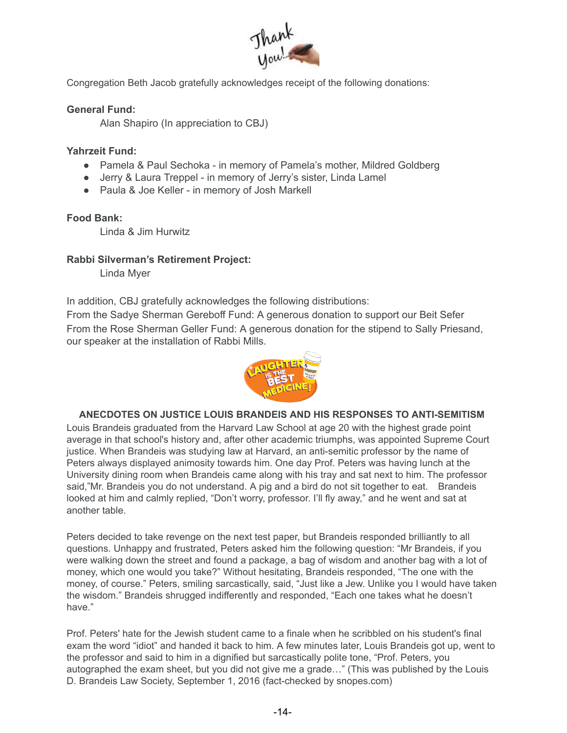

Congregation Beth Jacob gratefully acknowledges receipt of the following donations:

### **General Fund:**

Alan Shapiro (In appreciation to CBJ)

#### **Yahrzeit Fund:**

- Pamela & Paul Sechoka in memory of Pamela's mother, Mildred Goldberg
- Jerry & Laura Treppel in memory of Jerry's sister, Linda Lamel
- Paula & Joe Keller in memory of Josh Markell

#### **Food Bank:**

Linda & Jim Hurwitz

### **Rabbi Silverman's Retirement Project:**

Linda Myer

In addition, CBJ gratefully acknowledges the following distributions:

From the Sadye Sherman Gereboff Fund: A generous donation to support our Beit Sefer From the Rose Sherman Geller Fund: A generous donation for the stipend to Sally Priesand, our speaker at the installation of Rabbi Mills.



# **ANECDOTES ON JUSTICE LOUIS BRANDEIS AND HIS RESPONSES TO ANTI-SEMITISM**

Louis Brandeis graduated from the Harvard Law School at age 20 with the highest grade point average in that school's history and, after other academic triumphs, was appointed Supreme Court justice. When Brandeis was studying law at Harvard, an anti-semitic professor by the name of Peters always displayed animosity towards him. One day Prof. Peters was having lunch at the University dining room when Brandeis came along with his tray and sat next to him. The professor said,"Mr. Brandeis you do not understand. A pig and a bird do not sit together to eat. Brandeis looked at him and calmly replied, "Don't worry, professor. I'll fly away," and he went and sat at another table.

Peters decided to take revenge on the next test paper, but Brandeis responded brilliantly to all questions. Unhappy and frustrated, Peters asked him the following question: "Mr Brandeis, if you were walking down the street and found a package, a bag of wisdom and another bag with a lot of money, which one would you take?" Without hesitating, Brandeis responded, "The one with the money, of course." Peters, smiling sarcastically, said, "Just like a Jew. Unlike you I would have taken the wisdom." Brandeis shrugged indifferently and responded, "Each one takes what he doesn't have."

Prof. Peters' hate for the Jewish student came to a finale when he scribbled on his student's final exam the word "idiot" and handed it back to him. A few minutes later, Louis Brandeis got up, went to the professor and said to him in a dignified but sarcastically polite tone, "Prof. Peters, you autographed the exam sheet, but you did not give me a grade…" (This was published by the Louis D. Brandeis Law Society, September 1, 2016 (fact-checked by snopes.com)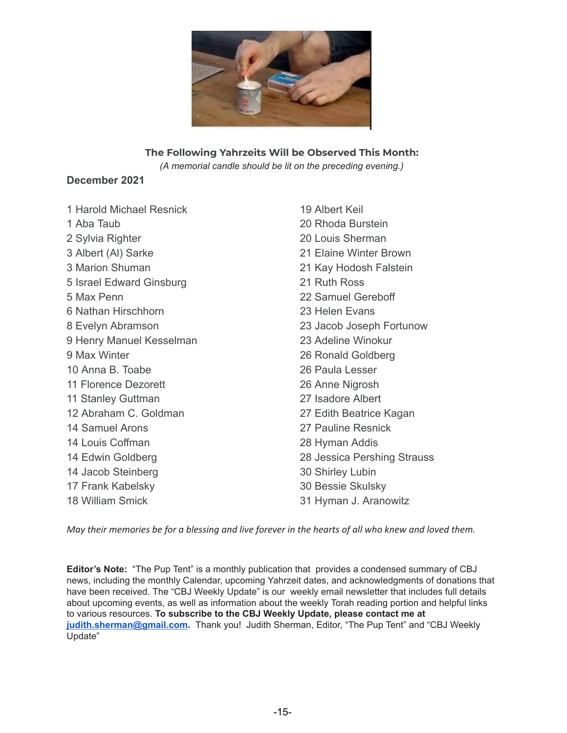

#### **The Following Yahrzeits Will be Observed This Month:**

*(A memorial candle should be lit on the preceding evening.)*

### **December 2021**

| 1 Harold Michael Resnick | 19 Albert Keil              |  |
|--------------------------|-----------------------------|--|
| 1 Aba Taub               | 20 Rhoda Burstein           |  |
| 2 Sylvia Righter         | 20 Louis Sherman            |  |
| 3 Albert (AI) Sarke      | 21 Elaine Winter Brown      |  |
| 3 Marion Shuman          | 21 Kay Hodosh Falstein      |  |
| 5 Israel Edward Ginsburg | 21 Ruth Ross                |  |
| 5 Max Penn               | 22 Samuel Gereboff          |  |
| 6 Nathan Hirschhorn      | 23 Helen Evans              |  |
| 8 Evelyn Abramson        | 23 Jacob Joseph Fortunow    |  |
| 9 Henry Manuel Kesselman | 23 Adeline Winokur          |  |
| 9 Max Winter             | 26 Ronald Goldberg          |  |
| 10 Anna B. Toabe         | 26 Paula Lesser             |  |
| 11 Florence Dezorett     | 26 Anne Nigrosh             |  |
| 11 Stanley Guttman       | 27 Isadore Albert           |  |
| 12 Abraham C. Goldman    | 27 Edith Beatrice Kagan     |  |
| 14 Samuel Arons          | 27 Pauline Resnick          |  |
| 14 Louis Coffman         | 28 Hyman Addis              |  |
| 14 Edwin Goldberg        | 28 Jessica Pershing Strauss |  |
| 14 Jacob Steinberg       | 30 Shirley Lubin            |  |
| 17 Frank Kabelsky        | 30 Bessie Skulsky           |  |
| 18 William Smick         | 31 Hyman J. Aranowitz       |  |

May their memories be for a blessing and live forever in the hearts of all who knew and loved them.

**Editor's Note:** "The Pup Tent" is a monthly publication that provides a condensed summary of CBJ news, including the monthly Calendar, upcoming Yahrzeit dates, and acknowledgments of donations that have been received. The "CBJ Weekly Update" is our weekly email newsletter that includes full details about upcoming events, as well as information about the weekly Torah reading portion and helpful links to various resources. **To subscribe to the CBJ Weekly Update, please contact me at [judith.sherman@gmail.com](mailto:judith.sherman@gmail.com).** Thank you! Judith Sherman, Editor, "The Pup Tent" and "CBJ Weekly Update"